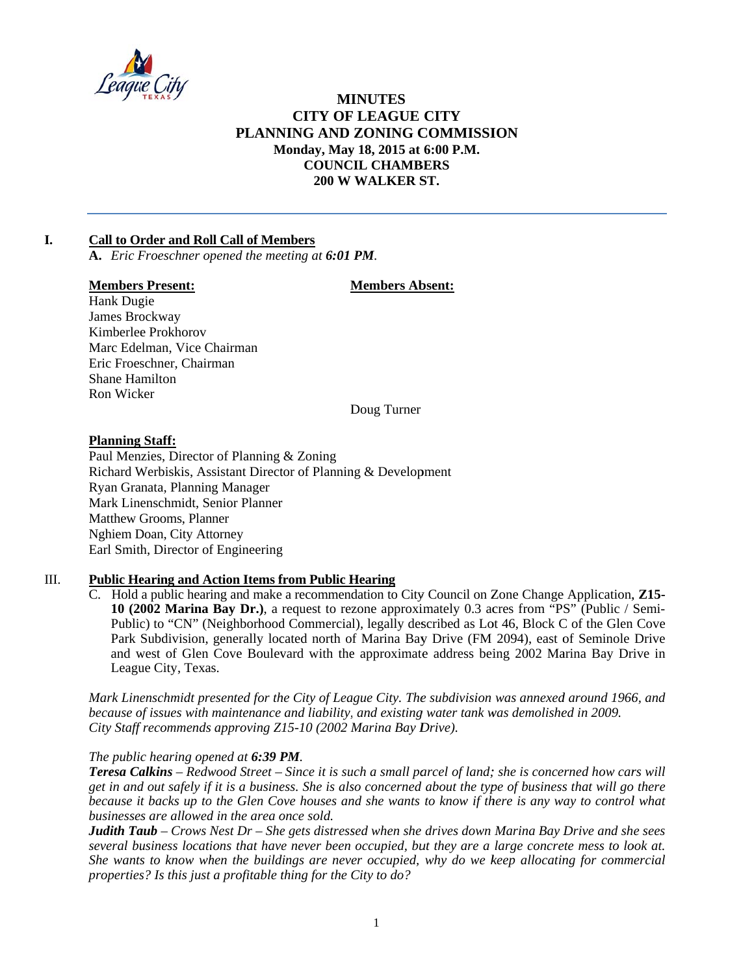

# **MINUTES CITY OF LEAGUE CITY** PLANNING AND ZONING COMMISSION Monday, May 18, 2015 at 6:00 P.M. **COUNCIL CHAMBERS** 200 W WALKER ST.

#### $\mathbf{L}$ **Call to Order and Roll Call of Members**

A. Eric Froeschner opened the meeting at 6:01 PM.

### **Members Present:**

### **Members Absent:**

Hank Dugie James Brockway Kimberlee Prokhorov Marc Edelman, Vice Chairman Eric Froeschner, Chairman **Shane Hamilton** Ron Wicker

Doug Turner

### **Planning Staff:**

Paul Menzies, Director of Planning & Zoning Richard Werbiskis, Assistant Director of Planning & Development Ryan Granata, Planning Manager Mark Linenschmidt, Senior Planner **Matthew Grooms, Planner** Nghiem Doan, City Attorney Earl Smith, Director of Engineering

#### Ш. **Public Hearing and Action Items from Public Hearing**

 $C_{\cdot}$ Hold a public hearing and make a recommendation to City Council on Zone Change Application, Z15-10 (2002 Marina Bay Dr.), a request to rezone approximately 0.3 acres from "PS" (Public / Semi-Public) to "CN" (Neighborhood Commercial), legally described as Lot 46, Block C of the Glen Cove Park Subdivision, generally located north of Marina Bay Drive (FM 2094), east of Seminole Drive and west of Glen Cove Boulevard with the approximate address being 2002 Marina Bay Drive in League City, Texas.

Mark Linenschmidt presented for the City of League City. The subdivision was annexed around 1966, and because of issues with maintenance and liability, and existing water tank was demolished in 2009. City Staff recommends approving Z15-10 (2002 Marina Bay Drive).

## The public hearing opened at 6:39 PM.

**Teresa Calkins** – Redwood Street – Since it is such a small parcel of land; she is concerned how cars will get in and out safely if it is a business. She is also concerned about the type of business that will go there because it backs up to the Glen Cove houses and she wants to know if there is any way to control what businesses are allowed in the area once sold.

Judith Taub - Crows Nest Dr - She gets distressed when she drives down Marina Bay Drive and she sees several business locations that have never been occupied, but they are a large concrete mess to look at. She wants to know when the buildings are never occupied, why do we keep allocating for commercial properties? Is this just a profitable thing for the City to do?